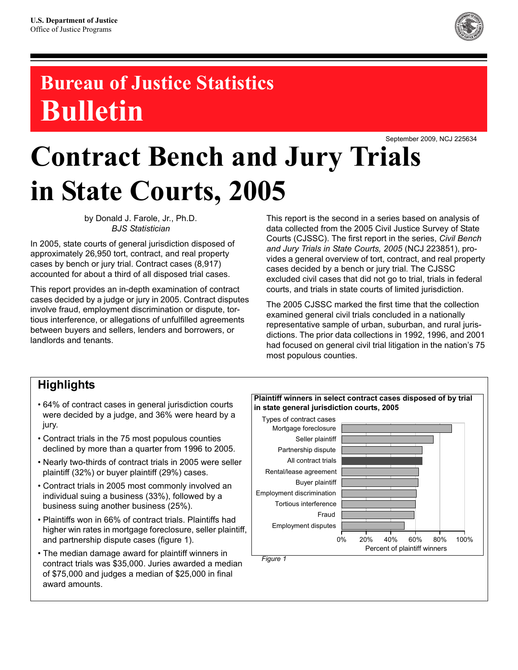

# **Bureau of Justice Statistics Bulletin**

September 2009, NCJ 225634

# **Contract Bench and Jury Trials in State Courts, 2005**

by Donald J. Farole, Jr., Ph.D. *BJS Statistician*

In 2005, state courts of general jurisdiction disposed of approximately 26,950 tort, contract, and real property cases by bench or jury trial. Contract cases (8,917) accounted for about a third of all disposed trial cases.

This report provides an in-depth examination of contract cases decided by a judge or jury in 2005. Contract disputes involve fraud, employment discrimination or dispute, tortious interference, or allegations of unfulfilled agreements between buyers and sellers, lenders and borrowers, or landlords and tenants.

This report is the second in a series based on analysis of data collected from the 2005 Civil Justice Survey of State Courts (CJSSC). The first report in the series, *Civil Bench and Jury Trials in State Courts, 2005* (NCJ 223851), provides a general overview of tort, contract, and real property cases decided by a bench or jury trial. The CJSSC excluded civil cases that did not go to trial, trials in federal courts, and trials in state courts of limited jurisdiction.

The 2005 CJSSC marked the first time that the collection examined general civil trials concluded in a nationally representative sample of urban, suburban, and rural jurisdictions. The prior data collections in 1992, 1996, and 2001 had focused on general civil trial litigation in the nation's 75 most populous counties.

## **Highlights**

- 64% of contract cases in general jurisdiction courts were decided by a judge, and 36% were heard by a jury.
- Contract trials in the 75 most populous counties declined by more than a quarter from 1996 to 2005.
- Nearly two-thirds of contract trials in 2005 were seller plaintiff (32%) or buyer plaintiff (29%) cases.
- Contract trials in 2005 most commonly involved an individual suing a business (33%), followed by a business suing another business (25%).
- Plaintiffs won in 66% of contract trials. Plaintiffs had higher win rates in mortgage foreclosure, seller plaintiff, and partnership dispute cases (figure 1).
- The median damage award for plaintiff winners in contract trials was \$35,000. Juries awarded a median of \$75,000 and judges a median of \$25,000 in final award amounts.

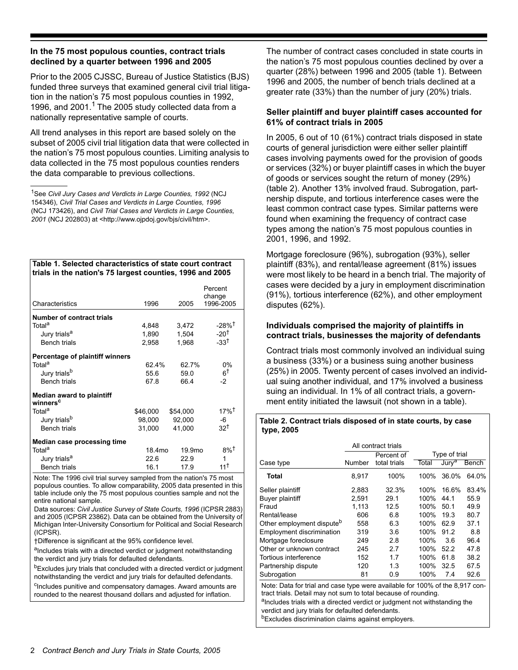#### **In the 75 most populous counties, contract trials declined by a quarter between 1996 and 2005**

Prior to the 2005 CJSSC, Bureau of Justice Statistics (BJS) funded three surveys that examined general civil trial litigation in the nation's 75 most populous counties in 1992, 1996, and 2001.<sup>1</sup> The 2005 study collected data from a nationally representative sample of courts.

All trend analyses in this report are based solely on the subset of 2005 civil trial litigation data that were collected in the nation's 75 most populous counties. Limiting analysis to data collected in the 75 most populous counties renders the data comparable to previous collections.

**Table 1. Selected characteristics of state court contract trials in the nation's 75 largest counties, 1996 and 2005**

| Characteristics                                   | 1996               | 2005               | Percent<br>change<br>1996-2005 |
|---------------------------------------------------|--------------------|--------------------|--------------------------------|
| Number of contract trials                         |                    |                    |                                |
| Total <sup>a</sup>                                | 4,848              | 3,472              | $-28%$ <sup>†</sup>            |
| Jury trials <sup>a</sup>                          | 1,890              | 1,504              | $-20†$                         |
| <b>Bench trials</b>                               | 2,958              | 1,968              | $-33^{\dagger}$                |
| Percentage of plaintiff winners                   |                    |                    |                                |
| Total <sup>a</sup>                                | $62.4\%$           | 627%               | $0\%$                          |
| Jury trials <sup>b</sup>                          | 55.6               | 59 O               | 6†                             |
| <b>Bench trials</b>                               | 67.8               | 66.4               | $-2$                           |
| Median award to plaintiff<br>winners <sup>c</sup> |                    |                    |                                |
| Total <sup>a</sup>                                | \$46,000           | \$54,000           | 17%†                           |
| Jury trials <sup>b</sup>                          | 98,000             | 92,000             | -6                             |
| <b>Bench trials</b>                               | 31,000             | 41.000             | $32^{\dagger}$                 |
| Median case processing time                       |                    |                    |                                |
| Total <sup>a</sup>                                | 18.4 <sub>mo</sub> | 19.9 <sub>mo</sub> | 8%†                            |
| Jury trials <sup>a</sup>                          | 22.6               | 22.9               | 1                              |
| <b>Bench trials</b>                               | 16.1               | 17.9               | 11 T                           |

Note: The 1996 civil trial survey sampled from the nation's 75 most populous counties. To allow comparability, 2005 data presented in this table include only the 75 most populous counties sample and not the entire national sample.

Data sources: *Civil Justice Survey of State Courts, 1996* (ICPSR 2883) and 2005 (ICPSR 23862). Data can be obtained from the University of Michigan Inter-University Consortium for Political and Social Research (ICPSR).

†Difference is significant at the 95% confidence level.

aIncludes trials with a directed verdict or judgment notwithstanding the verdict and jury trials for defaulted defendants.

<sup>b</sup>Excludes jury trials that concluded with a directed verdict or judgment notwithstanding the verdict and jury trials for defaulted defendants.

<sup>c</sup>Includes punitive and compensatory damages. Award amounts are rounded to the nearest thousand dollars and adjusted for inflation.

The number of contract cases concluded in state courts in the nation's 75 most populous counties declined by over a quarter (28%) between 1996 and 2005 (table 1). Between 1996 and 2005, the number of bench trials declined at a greater rate (33%) than the number of jury (20%) trials.

#### **Seller plaintiff and buyer plaintiff cases accounted for 61% of contract trials in 2005**

In 2005, 6 out of 10 (61%) contract trials disposed in state courts of general jurisdiction were either seller plaintiff cases involving payments owed for the provision of goods or services (32%) or buyer plaintiff cases in which the buyer of goods or services sought the return of money (29%) (table 2). Another 13% involved fraud. Subrogation, partnership dispute, and tortious interference cases were the least common contract case types. Similar patterns were found when examining the frequency of contract case types among the nation's 75 most populous counties in 2001, 1996, and 1992.

Mortgage foreclosure (96%), subrogation (93%), seller plaintiff (83%), and rental/lease agreement (81%) issues were most likely to be heard in a bench trial. The majority of cases were decided by a jury in employment discrimination (91%), tortious interference (62%), and other employment disputes (62%).

#### **Individuals comprised the majority of plaintiffs in contract trials, businesses the majority of defendants**

Contract trials most commonly involved an individual suing a business (33%) or a business suing another business (25%) in 2005. Twenty percent of cases involved an individual suing another individual, and 17% involved a business suing an individual. In 1% of all contract trials, a government entity initiated the lawsuit (not shown in a table).

#### **Table 2. Contract trials disposed of in state courts, by case type, 2005**

|                                       |        | All contract trials |       |                   |              |
|---------------------------------------|--------|---------------------|-------|-------------------|--------------|
|                                       |        | Percent of          |       | Type of trial     |              |
| Case type                             | Number | total trials        | Total | Jury <sup>a</sup> | <b>Bench</b> |
| Total                                 | 8.917  | 100%                | 100%  | 36.0%             | 64.0%        |
| Seller plaintiff                      | 2,883  | 32.3%               | 100%  | 16.6%             | 83.4%        |
| Buyer plaintiff                       | 2.591  | 29.1                | 100%  | 44 1              | 55.9         |
| Fraud                                 | 1.113  | 12.5                | 100%  | 50.1              | 49.9         |
| Rental/lease                          | 606    | 6.8                 | 100%  | 19.3              | 80.7         |
| Other employment dispute <sup>b</sup> | 558    | 6.3                 | 100%  | 62.9              | 37.1         |
| Employment discrimination             | 319    | 3.6                 | 100%  | 91.2              | 8.8          |
| Mortgage foreclosure                  | 249    | 2.8                 | 100%  | 3.6               | 96.4         |
| Other or unknown contract             | 245    | 2.7                 | 100%  | 52.2              | 47.8         |
| Tortious interference                 | 152    | 17                  | 100%  | 61.8              | 38.2         |
| Partnership dispute                   | 120    | 1.3                 | 100%  | 32.5              | 67.5         |
| Subrogation                           | 81     | 0.9                 | 100%  | 7.4               | 92.6         |

Note: Data for trial and case type were available for 100% of the 8,917 contract trials. Detail may not sum to total because of rounding.

aIncludes trials with a directed verdict or judgment not withstanding the verdict and jury trials for defaulted defendants.

bExcludes discrimination claims against employers.

<sup>1</sup>See *Civil Jury Cases and Verdicts in Large Counties, 1992* (NCJ 154346), *Civil Trial Cases and Verdicts in Large Counties, 1996* (NCJ 173426), and *Civil Trial Cases and Verdicts in Large Counties, 2001* (NCJ 202803) at <http://www.ojpdoj.gov/bjs/civil/htm>.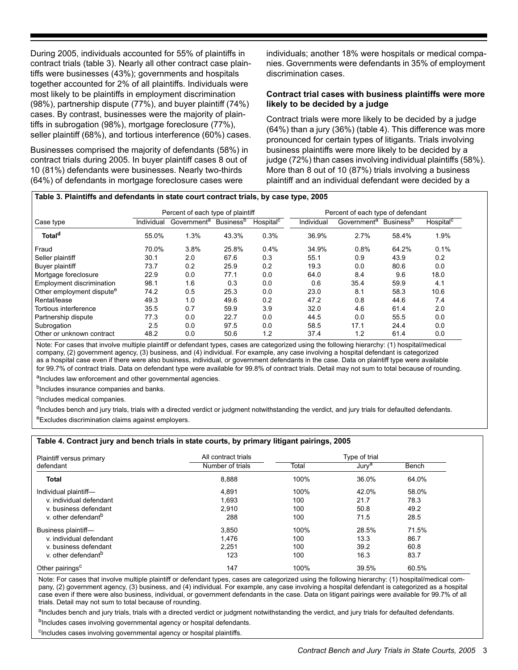During 2005, individuals accounted for 55% of plaintiffs in contract trials (table 3). Nearly all other contract case plaintiffs were businesses (43%); governments and hospitals together accounted for 2% of all plaintiffs. Individuals were most likely to be plaintiffs in employment discrimination (98%), partnership dispute (77%), and buyer plaintiff (74%) cases. By contrast, businesses were the majority of plaintiffs in subrogation (98%), mortgage foreclosure (77%), seller plaintiff (68%), and tortious interference (60%) cases.

Businesses comprised the majority of defendants (58%) in contract trials during 2005. In buyer plaintiff cases 8 out of 10 (81%) defendants were businesses. Nearly two-thirds (64%) of defendants in mortgage foreclosure cases were

individuals; another 18% were hospitals or medical companies. Governments were defendants in 35% of employment discrimination cases.

#### **Contract trial cases with business plaintiffs were more likely to be decided by a judge**

Contract trials were more likely to be decided by a judge (64%) than a jury (36%) (table 4). This difference was more pronounced for certain types of litigants. Trials involving business plaintiffs were more likely to be decided by a judge (72%) than cases involving individual plaintiffs (58%). More than 8 out of 10 (87%) trials involving a business plaintiff and an individual defendant were decided by a

#### **Table 3. Plaintiffs and defendants in state court contract trials, by case type, 2005**

|                                       |            | Percent of each type of plaintiff |                              |                       | Percent of each type of defendant |                         |                              |                       |
|---------------------------------------|------------|-----------------------------------|------------------------------|-----------------------|-----------------------------------|-------------------------|------------------------------|-----------------------|
| Case type                             | Individual | Government <sup>a</sup>           | <b>Business</b> <sup>b</sup> | Hospital <sup>c</sup> | Individual                        | Government <sup>a</sup> | <b>Business</b> <sup>b</sup> | Hospital <sup>c</sup> |
| Total <sup>d</sup>                    | 55.0%      | 1.3%                              | 43.3%                        | 0.3%                  | 36.9%                             | 2.7%                    | 58.4%                        | 1.9%                  |
| Fraud                                 | 70.0%      | 3.8%                              | 25.8%                        | $0.4\%$               | 34.9%                             | 0.8%                    | 64.2%                        | 0.1%                  |
| Seller plaintiff                      | 30.1       | 2.0                               | 67.6                         | 0.3                   | 55.1                              | 0.9                     | 43.9                         | 0.2                   |
| Buyer plaintiff                       | 73.7       | 0.2                               | 25.9                         | 0.2                   | 19.3                              | 0.0                     | 80.6                         | 0.0                   |
| Mortgage foreclosure                  | 22.9       | 0.0                               | 77.1                         | 0.0                   | 64.0                              | 8.4                     | 9.6                          | 18.0                  |
| Employment discrimination             | 98.1       | 1.6                               | 0.3                          | 0.0                   | 0.6                               | 35.4                    | 59.9                         | 4.1                   |
| Other employment dispute <sup>e</sup> | 74.2       | 0.5                               | 25.3                         | 0.0                   | 23.0                              | 8.1                     | 58.3                         | 10.6                  |
| Rental/lease                          | 49.3       | 1.0                               | 49.6                         | 0.2                   | 47.2                              | 0.8                     | 44.6                         | 7.4                   |
| Tortious interference                 | 35.5       | 0.7                               | 59.9                         | 3.9                   | 32.0                              | 4.6                     | 61.4                         | 2.0                   |
| Partnership dispute                   | 77.3       | 0.0                               | 22.7                         | 0.0                   | 44.5                              | 0.0                     | 55.5                         | 0.0                   |
| Subrogation                           | 2.5        | 0.0                               | 97.5                         | 0.0                   | 58.5                              | 17.1                    | 24.4                         | 0.0                   |
| Other or unknown contract             | 48.2       | 0.0                               | 50.6                         | 1.2                   | 37.4                              | 1.2                     | 61.4                         | 0.0                   |

Note: For cases that involve multiple plaintiff or defendant types, cases are categorized using the following hierarchy: (1) hospital/medical company, (2) government agency, (3) business, and (4) individual. For example, any case involving a hospital defendant is categorized as a hospital case even if there were also business, individual, or government defendants in the case. Data on plaintiff type were available for 99.7% of contract trials. Data on defendant type were available for 99.8% of contract trials. Detail may not sum to total because of rounding.

aIncludes law enforcement and other governmental agencies.

b<sub>Includes</sub> insurance companies and banks.

<sup>c</sup>Includes medical companies.

<sup>d</sup>Includes bench and jury trials, trials with a directed verdict or judgment notwithstanding the verdict, and jury trials for defaulted defendants. eExcludes discrimination claims against employers.

#### **Table 4. Contract jury and bench trials in state courts, by primary litigant pairings, 2005**

| Plaintiff versus primary        | All contract trials |       | Type of trial     |       |
|---------------------------------|---------------------|-------|-------------------|-------|
| defendant                       | Number of trials    | Total | Jury <sup>a</sup> | Bench |
| <b>Total</b>                    | 8,888               | 100%  | 36.0%             | 64.0% |
| Individual plaintiff-           | 4,891               | 100%  | 42.0%             | 58.0% |
| v. individual defendant         | 1,693               | 100   | 21.7              | 78.3  |
| v. business defendant           | 2.910               | 100   | 50.8              | 49.2  |
| v. other defendant <sup>b</sup> | 288                 | 100   | 71.5              | 28.5  |
| Business plaintiff-             | 3.850               | 100%  | 28.5%             | 71.5% |
| v. individual defendant         | 1.476               | 100   | 13.3              | 86.7  |
| v. business defendant           | 2,251               | 100   | 39.2              | 60.8  |
| v. other defendant <sup>b</sup> | 123                 | 100   | 16.3              | 83.7  |
| Other pairings <sup>c</sup>     | 147                 | 100%  | 39.5%             | 60.5% |

Note: For cases that involve multiple plaintiff or defendant types, cases are categorized using the following hierarchy: (1) hospital/medical company, (2) government agency, (3) business, and (4) individual. For example, any case involving a hospital defendant is categorized as a hospital case even if there were also business, individual, or government defendants in the case. Data on litigant pairings were available for 99.7% of all trials. Detail may not sum to total because of rounding.

aIncludes bench and jury trials, trials with a directed verdict or judgment notwithstanding the verdict, and jury trials for defaulted defendants.

bIncludes cases involving governmental agency or hospital defendants.

cIncludes cases involving governmental agency or hospital plaintiffs.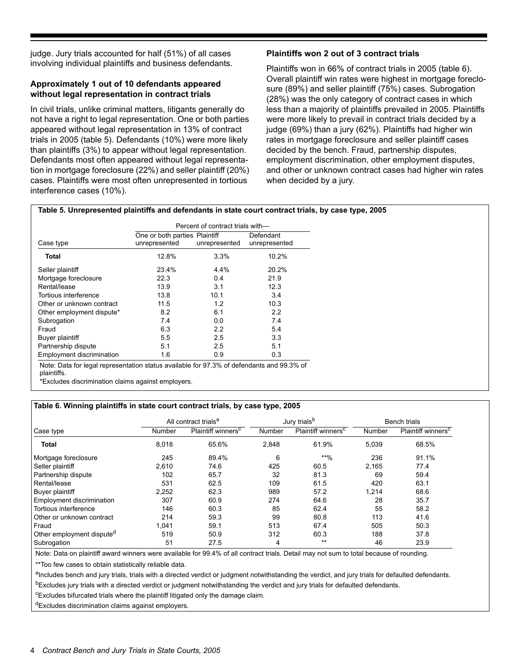judge. Jury trials accounted for half (51%) of all cases involving individual plaintiffs and business defendants.

#### **Approximately 1 out of 10 defendants appeared without legal representation in contract trials**

In civil trials, unlike criminal matters, litigants generally do not have a right to legal representation. One or both parties appeared without legal representation in 13% of contract trials in 2005 (table 5). Defendants (10%) were more likely than plaintiffs (3%) to appear without legal representation. Defendants most often appeared without legal representation in mortgage foreclosure (22%) and seller plaintiff (20%) cases. Plaintiffs were most often unrepresented in tortious interference cases (10%).

#### **Plaintiffs won 2 out of 3 contract trials**

Plaintiffs won in 66% of contract trials in 2005 (table 6). Overall plaintiff win rates were highest in mortgage foreclosure (89%) and seller plaintiff (75%) cases. Subrogation (28%) was the only category of contract cases in which less than a majority of plaintiffs prevailed in 2005. Plaintiffs were more likely to prevail in contract trials decided by a judge (69%) than a jury (62%). Plaintiffs had higher win rates in mortgage foreclosure and seller plaintiff cases decided by the bench. Fraud, partnership disputes, employment discrimination, other employment disputes, and other or unknown contract cases had higher win rates when decided by a jury.

#### **Table 5. Unrepresented plaintiffs and defendants in state court contract trials, by case type, 2005**

|                           |                               | Percent of contract trials with- |               |
|---------------------------|-------------------------------|----------------------------------|---------------|
|                           | One or both parties Plaintiff |                                  | Defendant     |
| Case type                 | unrepresented                 | unrepresented                    | unrepresented |
| Total                     | 12.8%                         | 3.3%                             | 10.2%         |
| Seller plaintiff          | 23.4%                         | $4.4\%$                          | 20.2%         |
| Mortgage foreclosure      | 22.3                          | 0.4                              | 21.9          |
| Rental/lease              | 13.9                          | 3.1                              | 12.3          |
| Tortious interference     | 13.8                          | 10.1                             | 3.4           |
| Other or unknown contract | 11.5                          | 1.2                              | 10.3          |
| Other employment dispute* | 8.2                           | 6.1                              | 2.2           |
| Subrogation               | 7.4                           | 0.0                              | 7.4           |
| Fraud                     | 6.3                           | 2.2                              | 5.4           |
| Buyer plaintiff           | 5.5                           | 2.5                              | 3.3           |
| Partnership dispute       | 5.1                           | 2.5                              | 5.1           |
| Employment discrimination | 1.6                           | 0.9                              | 0.3           |

Note: Data for legal representation status available for 97.3% of defendants and 99.3% of plaintiffs.

\*Excludes discrimination claims against employers.

#### **Table 6. Winning plaintiffs in state court contract trials, by case type, 2005**

|                                       |        | All contract trials <sup>a</sup> |        | Jury trials <sup>b</sup>       | <b>Bench trials</b> |                                |
|---------------------------------------|--------|----------------------------------|--------|--------------------------------|---------------------|--------------------------------|
| Case type                             | Number | Plaintiff winners <sup>c</sup>   | Number | Plaintiff winners <sup>c</sup> | Number              | Plaintiff winners <sup>c</sup> |
| <b>Total</b>                          | 8,018  | 65.6%                            | 2,848  | 61.9%                          | 5,039               | 68.5%                          |
| Mortgage foreclosure                  | 245    | 89.4%                            | 6      | $**96$                         | 236                 | 91.1%                          |
| Seller plaintiff                      | 2,610  | 74.6                             | 425    | 60.5                           | 2,165               | 77.4                           |
| Partnership dispute                   | 102    | 65.7                             | 32     | 81.3                           | 69                  | 59.4                           |
| Rental/lease                          | 531    | 62.5                             | 109    | 61.5                           | 420                 | 63.1                           |
| Buyer plaintiff                       | 2,252  | 62.3                             | 989    | 57.2                           | 1,214               | 68.6                           |
| Employment discrimination             | 307    | 60.9                             | 274    | 64.6                           | 28                  | 35.7                           |
| Tortious interference                 | 146    | 60.3                             | 85     | 62.4                           | 55                  | 58.2                           |
| Other or unknown contract             | 214    | 59.3                             | 99     | 80.8                           | 113                 | 41.6                           |
| Fraud                                 | 1,041  | 59.1                             | 513    | 67.4                           | 505                 | 50.3                           |
| Other employment dispute <sup>a</sup> | 519    | 50.9                             | 312    | 60.3                           | 188                 | 37.8                           |
| Subrogation                           | 51     | 27.5                             | 4      | $***$                          | 46                  | 23.9                           |

Note: Data on plaintiff award winners were available for 99.4% of all contract trials. Detail may not sum to total because of rounding.

\*\*Too few cases to obtain statistically reliable data.

aIncludes bench and jury trials, trials with a directed verdict or judgment notwithstanding the verdict, and jury trials for defaulted defendants. <sup>b</sup>Excludes jury trials with a directed verdict or judgment notwithstanding the verdict and jury trials for defaulted defendants.

<sup>c</sup>Excludes bifurcated trials where the plaintiff litigated only the damage claim.

dExcludes discrimination claims against employers.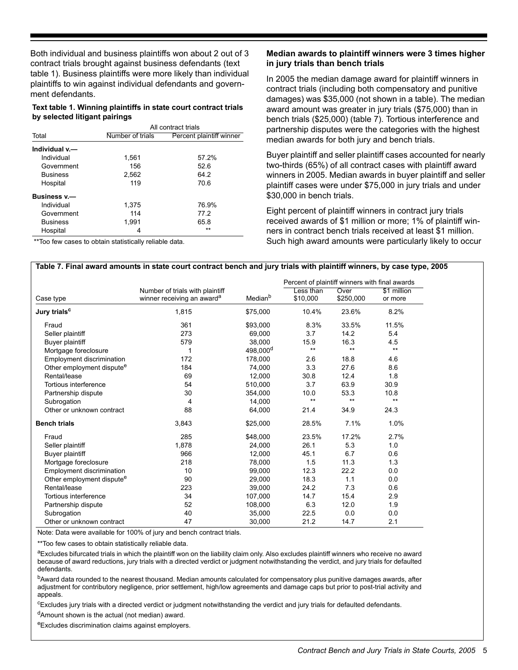Both individual and business plaintiffs won about 2 out of 3 contract trials brought against business defendants (text table 1). Business plaintiffs were more likely than individual plaintiffs to win against individual defendants and government defendants.

**Text table 1. Winning plaintiffs in state court contract trials by selected litigant pairings**

|                 |                  | All contract trials      |
|-----------------|------------------|--------------------------|
| Total           | Number of trials | Percent plaintiff winner |
| Individual v.-  |                  |                          |
| Individual      | 1,561            | 57.2%                    |
| Government      | 156              | 52.6                     |
| <b>Business</b> | 2,562            | 64.2                     |
| Hospital        | 119              | 70.6                     |
| Business v.-    |                  |                          |
| Individual      | 1,375            | 76.9%                    |
| Government      | 114              | 77.2                     |
| <b>Business</b> | 1.991            | 65.8                     |
| Hospital        | 4                | $***$                    |

\*\*Too few cases to obtain statistically reliable data.

#### **Median awards to plaintiff winners were 3 times higher in jury trials than bench trials**

In 2005 the median damage award for plaintiff winners in contract trials (including both compensatory and punitive damages) was \$35,000 (not shown in a table). The median award amount was greater in jury trials (\$75,000) than in bench trials (\$25,000) (table 7). Tortious interference and partnership disputes were the categories with the highest median awards for both jury and bench trials.

Buyer plaintiff and seller plaintiff cases accounted for nearly two-thirds (65%) of all contract cases with plaintiff award winners in 2005. Median awards in buyer plaintiff and seller plaintiff cases were under \$75,000 in jury trials and under \$30,000 in bench trials.

Eight percent of plaintiff winners in contract jury trials received awards of \$1 million or more; 1% of plaintiff winners in contract bench trials received at least \$1 million. Such high award amounts were particularly likely to occur

|                                       |                                                                           |                      |                       |                   | Percent of plaintiff winners with final awards |  |  |  |
|---------------------------------------|---------------------------------------------------------------------------|----------------------|-----------------------|-------------------|------------------------------------------------|--|--|--|
| Case type                             | Number of trials with plaintiff<br>winner receiving an award <sup>a</sup> | Median <sup>b</sup>  | Less than<br>\$10,000 | Over<br>\$250,000 | \$1 million<br>or more                         |  |  |  |
| Jury trials <sup>c</sup>              | 1,815                                                                     | \$75,000             | 10.4%                 | 23.6%             | 8.2%                                           |  |  |  |
| Fraud                                 | 361                                                                       | \$93,000             | 8.3%                  | 33.5%             | 11.5%                                          |  |  |  |
| Seller plaintiff                      | 273                                                                       | 69.000               | 3.7                   | 14.2              | 5.4                                            |  |  |  |
| Buyer plaintiff                       | 579                                                                       | 38,000               | 15.9                  | 16.3              | 4.5                                            |  |  |  |
| Mortgage foreclosure                  | 1                                                                         | 498,000 <sup>d</sup> | $***$                 | $***$             | $***$                                          |  |  |  |
| Employment discrimination             | 172                                                                       | 178,000              | 2.6                   | 18.8              | 4.6                                            |  |  |  |
| Other employment dispute <sup>e</sup> | 184                                                                       | 74.000               | 3.3                   | 27.6              | 8.6                                            |  |  |  |
| Rental/lease                          | 69                                                                        | 12,000               | 30.8                  | 12.4              | 1.8                                            |  |  |  |
| Tortious interference                 | 54                                                                        | 510,000              | 3.7                   | 63.9              | 30.9                                           |  |  |  |
| Partnership dispute                   | 30                                                                        | 354,000              | 10.0                  | 53.3              | 10.8                                           |  |  |  |
| Subrogation                           | 4                                                                         | 14,000               | $**$                  | $***$             | $**$                                           |  |  |  |
| Other or unknown contract             | 88                                                                        | 64,000               | 21.4                  | 34.9              | 24.3                                           |  |  |  |
| <b>Bench trials</b>                   | 3,843                                                                     | \$25,000             | 28.5%                 | 7.1%              | 1.0%                                           |  |  |  |
| Fraud                                 | 285                                                                       | \$48,000             | 23.5%                 | 17.2%             | 2.7%                                           |  |  |  |
| Seller plaintiff                      | 1,878                                                                     | 24,000               | 26.1                  | 5.3               | 1.0                                            |  |  |  |
| <b>Buver plaintiff</b>                | 966                                                                       | 12,000               | 45.1                  | 6.7               | 0.6                                            |  |  |  |
| Mortgage foreclosure                  | 218                                                                       | 78,000               | 1.5                   | 11.3              | 1.3                                            |  |  |  |
| Employment discrimination             | 10                                                                        | 99,000               | 12.3                  | 22.2              | 0.0                                            |  |  |  |
| Other employment dispute <sup>e</sup> | 90                                                                        | 29,000               | 18.3                  | 1.1               | 0.0                                            |  |  |  |
| Rental/lease                          | 223                                                                       | 39,000               | 24.2                  | 7.3               | 0.6                                            |  |  |  |
| Tortious interference                 | 34                                                                        | 107,000              | 14.7                  | 15.4              | 2.9                                            |  |  |  |
| Partnership dispute                   | 52                                                                        | 108,000              | 6.3                   | 12.0              | 1.9                                            |  |  |  |
| Subrogation                           | 40                                                                        | 35,000               | 22.5                  | 0.0               | 0.0                                            |  |  |  |
| Other or unknown contract             | 47                                                                        | 30,000               | 21.2                  | 14.7              | 2.1                                            |  |  |  |

 $^{\texttt{a}}$ Excludes bifurcated trials in which the plaintiff won on the liability claim only. Also excludes plaintiff winners who receive no award because of award reductions, jury trials with a directed verdict or judgment notwithstanding the verdict, and jury trials for defaulted defendants.

bAward data rounded to the nearest thousand. Median amounts calculated for compensatory plus punitive damages awards, after adjustment for contributory negligence, prior settlement, high/low agreements and damage caps but prior to post-trial activity and appeals.

<sup>c</sup>Excludes jury trials with a directed verdict or judgment notwithstanding the verdict and jury trials for defaulted defendants.

 $d$ Amount shown is the actual (not median) award.

eExcludes discrimination claims against employers.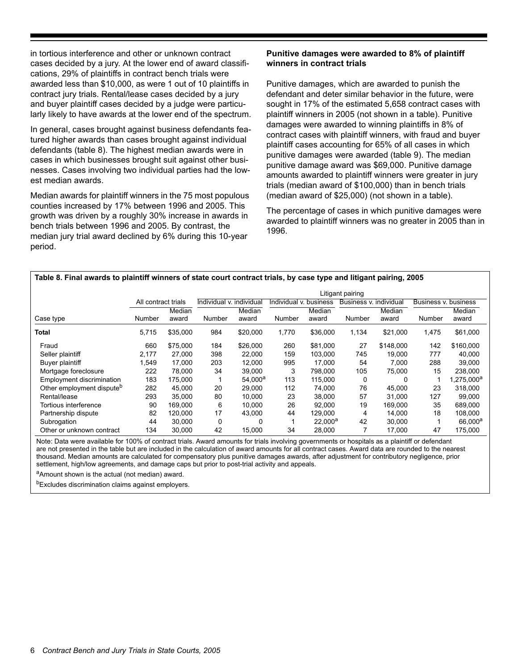in tortious interference and other or unknown contract cases decided by a jury. At the lower end of award classifications, 29% of plaintiffs in contract bench trials were awarded less than \$10,000, as were 1 out of 10 plaintiffs in contract jury trials. Rental/lease cases decided by a jury and buyer plaintiff cases decided by a judge were particularly likely to have awards at the lower end of the spectrum.

In general, cases brought against business defendants featured higher awards than cases brought against individual defendants (table 8). The highest median awards were in cases in which businesses brought suit against other businesses. Cases involving two individual parties had the lowest median awards.

Median awards for plaintiff winners in the 75 most populous counties increased by 17% between 1996 and 2005. This growth was driven by a roughly 30% increase in awards in bench trials between 1996 and 2005. By contrast, the median jury trial award declined by 6% during this 10-year period.

#### **Punitive damages were awarded to 8% of plaintiff winners in contract trials**

Punitive damages, which are awarded to punish the defendant and deter similar behavior in the future, were sought in 17% of the estimated 5,658 contract cases with plaintiff winners in 2005 (not shown in a table). Punitive damages were awarded to winning plaintiffs in 8% of contract cases with plaintiff winners, with fraud and buyer plaintiff cases accounting for 65% of all cases in which punitive damages were awarded (table 9). The median punitive damage award was \$69,000. Punitive damage amounts awarded to plaintiff winners were greater in jury trials (median award of \$100,000) than in bench trials (median award of \$25,000) (not shown in a table).

The percentage of cases in which punitive damages were awarded to plaintiff winners was no greater in 2005 than in 1996.

#### **Table 8. Final awards to plaintiff winners of state court contract trials, by case type and litigant pairing, 2005** Litigant pairing All contract trials Individual v. individual Individual v. business Business v. individual Business v. business Case type **Number** Median award Number Median award Number Median award Number Median award Number Median award **Total** 5,715 \$35,000 984 \$20,000 1,770 \$36,000 1,134 \$21,000 1,475 \$61,000 Fraud 660 \$75,000 184 \$26,000 260 \$81,000 27 \$148,000 142 \$160,000 Seller plaintiff 2,177 27,000 398 22,000 159 103,000 745 19,000 777 40,000 Buyer plaintiff 1,549 17,000 203 12,000 995 17,000 54 7,000 288 39,000 Mortgage foreclosure 222 78,000 34 39,000 3 798,000 105 75,000 15 238,000 Employment discrimination  $183$   $175,000$   $1$   $54,000^a$   $113$   $115,000$  0 0 0 1  $1,275,000^a$ Other employment dispute<sup>b</sup> 282 45,000 20 29,000 112 74,000 76 45,000 23 318,000 Rental/lease 293 35,000 80 10,000 23 38,000 57 31,000 127 99,000 Tortious interference 90 169,000 6 10,000 26 92,000 19 169,000 35 689,000 Partnership dispute 82 120,000 17 43,000 44 129,000 4 14,000 18 108,000 Subrogation 44 30,000 0 0 1 22,000<sup>a</sup> 42 30,000 1 66,000<sup>a</sup> Other or unknown contract 134 30,000 42 15,000 34 28,000 7 17,000 47 175,000

Note: Data were available for 100% of contract trials. Award amounts for trials involving governments or hospitals as a plaintiff or defendant are not presented in the table but are included in the calculation of award amounts for all contract cases. Award data are rounded to the nearest thousand. Median amounts are calculated for compensatory plus punitive damages awards, after adjustment for contributory negligence, prior settlement, high/low agreements, and damage caps but prior to post-trial activity and appeals.

aAmount shown is the actual (not median) award.

<sup>b</sup>Excludes discrimination claims against employers.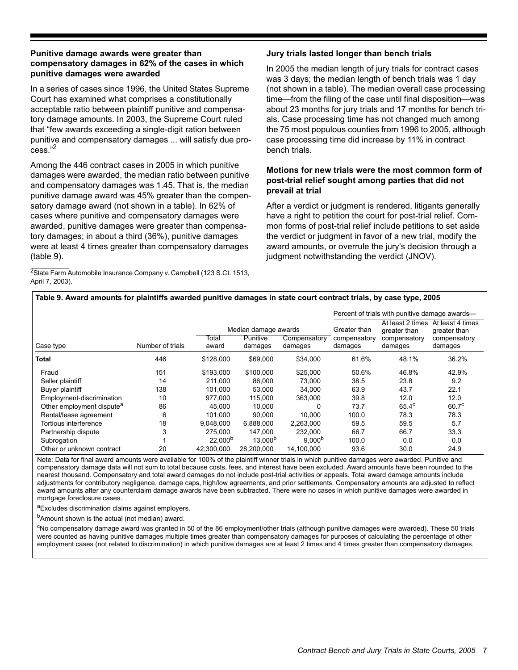#### **Punitive damage awards were greater than compensatory damages in 62% of the cases in which punitive damages were awarded**

In a series of cases since 1996, the United States Supreme Court has examined what comprises a constitutionally acceptable ratio between plaintiff punitive and compensatory damage amounts. In 2003, the Supreme Court ruled that "few awards exceeding a single-digit ration between punitive and compensatory damages ... will satisfy due process."2

Among the 446 contract cases in 2005 in which punitive damages were awarded, the median ratio between punitive and compensatory damages was 1.45. That is, the median punitive damage award was 45% greater than the compensatory damage award (not shown in a table). In 62% of cases where punitive and compensatory damages were awarded, punitive damages were greater than compensatory damages; in about a third (36%), punitive damages were at least 4 times greater than compensatory damages (table 9).

<sup>2</sup>State Farm Automobile Insurance Company v. Campbell (123 S.Ct. 1513, April 7, 2003).

#### **Jury trials lasted longer than bench trials**

In 2005 the median length of jury trials for contract cases was 3 days; the median length of bench trials was 1 day (not shown in a table). The median overall case processing time—from the filing of the case until final disposition—was about 23 months for jury trials and 17 months for bench trials. Case processing time has not changed much among the 75 most populous counties from 1996 to 2005, although case processing time did increase by 11% in contract bench trials.

#### **Motions for new trials were the most common form of post-trial relief sought among parties that did not prevail at trial**

After a verdict or judgment is rendered, litigants generally have a right to petition the court for post-trial relief. Common forms of post-trial relief include petitions to set aside the verdict or judgment in favor of a new trial, modify the award amounts, or overrule the jury's decision through a judgment notwithstanding the verdict (JNOV).

### **Table 9. Award amounts for plaintiffs awarded punitive damages in state court contract trials, by case type, 2005**

|                                       |                  |                | Percent of trials with punitive damage awards— |                         |                         |                                  |                                  |
|---------------------------------------|------------------|----------------|------------------------------------------------|-------------------------|-------------------------|----------------------------------|----------------------------------|
|                                       |                  |                | Median damage awards                           |                         | Greater than            | At least 2 times<br>greater than | At least 4 times<br>greater than |
| Case type                             | Number of trials | Total<br>award | Punitive<br>damages                            | Compensatory<br>damages | compensatory<br>damages | compensatory<br>damages          | compensatory<br>damages          |
| <b>Total</b>                          | 446              | \$128,000      | \$69,000                                       | \$34,000                | 61.6%                   | 48.1%                            | 36.2%                            |
| Fraud                                 | 151              | \$193,000      | \$100,000                                      | \$25,000                | 50.6%                   | 46.8%                            | 42.9%                            |
| Seller plaintiff                      | 14               | 211.000        | 86,000                                         | 73.000                  | 38.5                    | 23.8                             | 9.2                              |
| Buyer plaintiff                       | 138              | 101.000        | 53,000                                         | 34.000                  | 63.9                    | 43.7                             | 22.1                             |
| Employment-discrimination             | 10               | 977.000        | 115,000                                        | 363,000                 | 39.8                    | 12.0                             | 12.0                             |
| Other employment dispute <sup>a</sup> | 86               | 45.000         | 10.000                                         | 0                       | 73.7                    | $65.4^{\circ}$                   | 60.7 <sup>c</sup>                |
| Rental/lease agreement                | 6                | 101.000        | 90.000                                         | 10.000                  | 100.0                   | 78.3                             | 78.3                             |
| Tortious interference                 | 18               | 9.048.000      | 6,888,000                                      | 2,263,000               | 59.5                    | 59.5                             | 5.7                              |
| Partnership dispute                   | 3                | 275.000        | 147.000                                        | 232,000                 | 66.7                    | 66.7                             | 33.3                             |
| Subrogation                           |                  | $22,000^{b}$   | 13.000 <sup>b</sup>                            | 9.000 <sup>b</sup>      | 100.0                   | 0.0                              | 0.0                              |
| Other or unknown contract             | 20               | 42.300.000     | 28.200.000                                     | 14.100.000              | 93.6                    | 30.0                             | 24.9                             |

Note: Data for final award amounts were available for 100% of the plaintiff winner trials in which punitive damages were awarded. Punitive and compensatory damage data will not sum to total because costs, fees, and interest have been excluded. Award amounts have been rounded to the nearest thousand. Compensatory and total award damages do not include post-trial activities or appeals. Total award damage amounts include adjustments for contributory negligence, damage caps, high/low agreements, and prior settlements. Compensatory amounts are adjusted to reflect award amounts after any counterclaim damage awards have been subtracted. There were no cases in which punitive damages were awarded in mortgage foreclosure cases.

aExcludes discrimination claims against employers.

<sup>b</sup>Amount shown is the actual (not median) award.

<sup>c</sup>No compensatory damage award was granted in 50 of the 86 employment/other trials (although punitive damages were awarded). These 50 trials were counted as having punitive damages multiple times greater than compensatory damages for purposes of calculating the percentage of other employment cases (not related to discrimination) in which punitive damages are at least 2 times and 4 times greater than compensatory damages.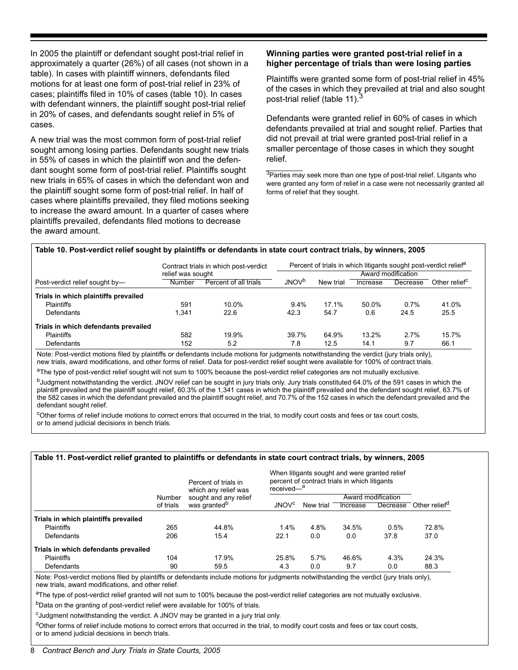In 2005 the plaintiff or defendant sought post-trial relief in approximately a quarter (26%) of all cases (not shown in a table). In cases with plaintiff winners, defendants filed motions for at least one form of post-trial relief in 23% of cases; plaintiffs filed in 10% of cases (table 10). In cases with defendant winners, the plaintiff sought post-trial relief in 20% of cases, and defendants sought relief in 5% of cases.

A new trial was the most common form of post-trial relief sought among losing parties. Defendants sought new trials in 55% of cases in which the plaintiff won and the defendant sought some form of post-trial relief. Plaintiffs sought new trials in 65% of cases in which the defendant won and the plaintiff sought some form of post-trial relief. In half of cases where plaintiffs prevailed, they filed motions seeking to increase the award amount. In a quarter of cases where plaintiffs prevailed, defendants filed motions to decrease the award amount.

#### **Winning parties were granted post-trial relief in a higher percentage of trials than were losing parties**

Plaintiffs were granted some form of post-trial relief in 45% of the cases in which they prevailed at trial and also sought post-trial relief (table 11).<sup>3</sup>

Defendants were granted relief in 60% of cases in which defendants prevailed at trial and sought relief. Parties that did not prevail at trial were granted post-trial relief in a smaller percentage of those cases in which they sought relief.

<sup>3</sup>Parties may seek more than one type of post-trial relief. Litigants who were granted any form of relief in a case were not necessarily granted all forms of relief that they sought.

#### **Table 10. Post-verdict relief sought by plaintiffs or defendants in state court contract trials, by winners, 2005**

|                                      |                   | Contract trials in which post-verdict |                          |           | Percent of trials in which litigants sought post-verdict relief <sup>d</sup> |                    |                           |  |
|--------------------------------------|-------------------|---------------------------------------|--------------------------|-----------|------------------------------------------------------------------------------|--------------------|---------------------------|--|
|                                      | relief was sought |                                       |                          |           |                                                                              | Award modification |                           |  |
| Post-verdict relief sought by-       | Number            | Percent of all trials                 | <b>JNOV</b> <sup>b</sup> | New trial | Increase                                                                     | Decrease           | Other relief <sup>c</sup> |  |
| Trials in which plaintiffs prevailed |                   |                                       |                          |           |                                                                              |                    |                           |  |
| <b>Plaintiffs</b>                    | 591               | 10.0%                                 | $9.4\%$                  | 17.1%     | 50.0%                                                                        | 0.7%               | 41.0%                     |  |
| Defendants                           | 1.341             | 22.6                                  | 42.3                     | 54.7      | 0.6                                                                          | 24.5               | 25.5                      |  |
| Trials in which defendants prevailed |                   |                                       |                          |           |                                                                              |                    |                           |  |
| <b>Plaintiffs</b>                    | 582               | 19.9%                                 | 39.7%                    | 64.9%     | 13.2%                                                                        | 2.7%               | 15.7%                     |  |
| Defendants                           | 152               | 5.2                                   | 7.8                      | 12.5      | 14.1                                                                         | 9.7                | 66.1                      |  |

Note: Post-verdict motions filed by plaintiffs or defendants include motions for judgments notwithstanding the verdict (jury trials only), new trials, award modifications, and other forms of relief. Data for post-verdict relief sought were available for 100% of contract trials.

aThe type of post-verdict relief sought will not sum to 100% because the post-verdict relief categories are not mutually exclusive.

bJudgment notwithstanding the verdict. JNOV relief can be sought in jury trials only. Jury trials constituted 64.0% of the 591 cases in which the plaintiff prevailed and the plaintiff sought relief, 60.3% of the 1,341 cases in which the plaintiff prevailed and the defendant sought relief, 63.7% of the 582 cases in which the defendant prevailed and the plaintiff sought relief, and 70.7% of the 152 cases in which the defendant prevailed and the defendant sought relief.

<sup>c</sup>Other forms of relief include motions to correct errors that occurred in the trial, to modify court costs and fees or tax court costs, or to amend judicial decisions in bench trials.

#### **Table 11. Post-verdict relief granted to plaintiffs or defendants in state court contract trials, by winners, 2005**

|                                      |           | Percent of trials in<br>which any relief was | received— <sup>a</sup>  |           | When litigants sought and were granted relief<br>percent of contract trials in which litigants |                    |                           |
|--------------------------------------|-----------|----------------------------------------------|-------------------------|-----------|------------------------------------------------------------------------------------------------|--------------------|---------------------------|
|                                      | Number    | sought and any relief                        |                         |           |                                                                                                | Award modification |                           |
|                                      | of trials | was granted <sup>b</sup>                     | <b>JNOV<sup>c</sup></b> | New trial | Increase                                                                                       | Decrease           | Other relief <sup>a</sup> |
| Trials in which plaintiffs prevailed |           |                                              |                         |           |                                                                                                |                    |                           |
| <b>Plaintiffs</b>                    | 265       | 44.8%                                        | 1.4%                    | 4.8%      | 34.5%                                                                                          | 0.5%               | 72.8%                     |
| Defendants                           | 206       | 15.4                                         | 22.1                    | 0.0       | 0.0                                                                                            | 37.8               | 37.0                      |
| Trials in which defendants prevailed |           |                                              |                         |           |                                                                                                |                    |                           |
| <b>Plaintiffs</b>                    | 104       | 17.9%                                        | 25.8%                   | 5.7%      | 46.6%                                                                                          | 4.3%               | 24.3%                     |
| Defendants                           | 90        | 59.5                                         | 4.3                     | 0.0       | 9.7                                                                                            | 0.0                | 88.3                      |

Note: Post-verdict motions filed by plaintiffs or defendants include motions for judgments notwithstanding the verdict (jury trials only), new trials, award modifications, and other relief.

 $a$ The type of post-verdict relief granted will not sum to 100% because the post-verdict relief categories are not mutually exclusive.

<sup>b</sup>Data on the granting of post-verdict relief were available for 100% of trials.

<sup>c</sup>Judgment notwithstanding the verdict. A JNOV may be granted in a jury trial only.

<sup>d</sup>Other forms of relief include motions to correct errors that occurred in the trial, to modify court costs and fees or tax court costs, or to amend judicial decisions in bench trials.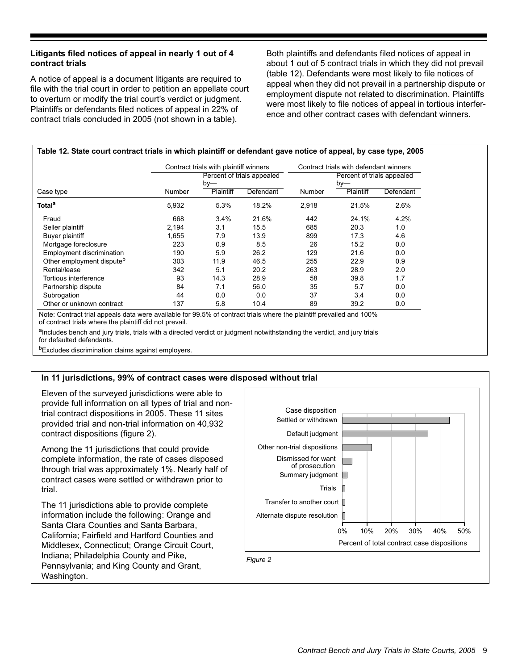#### **Litigants filed notices of appeal in nearly 1 out of 4 contract trials**

A notice of appeal is a document litigants are required to file with the trial court in order to petition an appellate court to overturn or modify the trial court's verdict or judgment. Plaintiffs or defendants filed notices of appeal in 22% of contract trials concluded in 2005 (not shown in a table).

Both plaintiffs and defendants filed notices of appeal in about 1 out of 5 contract trials in which they did not prevail (table 12). Defendants were most likely to file notices of appeal when they did not prevail in a partnership dispute or employment dispute not related to discrimination. Plaintiffs were most likely to file notices of appeal in tortious interference and other contract cases with defendant winners.

|                                       |               | Contract trials with plaintiff winners |                            |        | Contract trials with defendant winners |           |
|---------------------------------------|---------------|----------------------------------------|----------------------------|--------|----------------------------------------|-----------|
|                                       |               |                                        | Percent of trials appealed |        | Percent of trials appealed             |           |
|                                       |               | $by-$                                  |                            |        | $by-$                                  |           |
| Case type                             | <b>Number</b> | Plaintiff                              | Defendant                  | Number | Plaintiff                              | Defendant |
| Total <sup>a</sup>                    | 5,932         | 5.3%                                   | 18.2%                      | 2,918  | 21.5%                                  | 2.6%      |
| Fraud                                 | 668           | 3.4%                                   | 21.6%                      | 442    | 24.1%                                  | 4.2%      |
| Seller plaintiff                      | 2,194         | 3.1                                    | 15.5                       | 685    | 20.3                                   | 1.0       |
| Buyer plaintiff                       | 1,655         | 7.9                                    | 13.9                       | 899    | 17.3                                   | 4.6       |
| Mortgage foreclosure                  | 223           | 0.9                                    | 8.5                        | 26     | 15.2                                   | 0.0       |
| Employment discrimination             | 190           | 5.9                                    | 26.2                       | 129    | 21.6                                   | 0.0       |
| Other employment dispute <sup>b</sup> | 303           | 11.9                                   | 46.5                       | 255    | 22.9                                   | 0.9       |
| Rental/lease                          | 342           | 5.1                                    | 20.2                       | 263    | 28.9                                   | 2.0       |
| Tortious interference                 | 93            | 14.3                                   | 28.9                       | 58     | 39.8                                   | 1.7       |
| Partnership dispute                   | 84            | 7.1                                    | 56.0                       | 35     | 5.7                                    | 0.0       |
| Subrogation                           | 44            | 0.0                                    | 0.0                        | 37     | 3.4                                    | 0.0       |
| Other or unknown contract             | 137           | 5.8                                    | 10.4                       | 89     | 39.2                                   | 0.0       |

Note: Contract trial appeals data were available for 99.5% of contract trials where the plaintiff prevailed and 100% of contract trials where the plaintiff did not prevail.

alncludes bench and jury trials, trials with a directed verdict or judgment notwithstanding the verdict, and jury trials for defaulted defendants.

**bExcludes discrimination claims against employers.** 

#### **In 11 jurisdictions, 99% of contract cases were disposed without trial**

Eleven of the surveyed jurisdictions were able to provide full information on all types of trial and nontrial contract dispositions in 2005. These 11 sites provided trial and non-trial information on 40,932 contract dispositions (figure 2).

Among the 11 jurisdictions that could provide complete information, the rate of cases disposed through trial was approximately 1%. Nearly half of contract cases were settled or withdrawn prior to trial.

The 11 jurisdictions able to provide complete information include the following: Orange and Santa Clara Counties and Santa Barbara, California; Fairfield and Hartford Counties and Middlesex, Connecticut; Orange Circuit Court, Indiana; Philadelphia County and Pike, Pennsylvania; and King County and Grant, Washington.

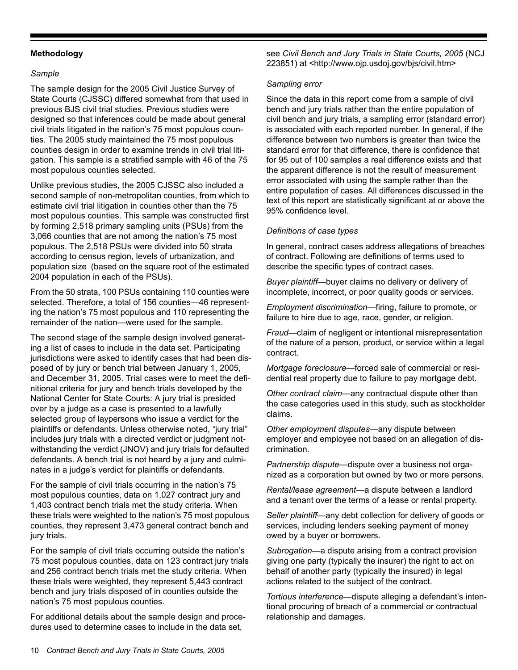#### **Methodology**

#### *Sample*

The sample design for the 2005 Civil Justice Survey of State Courts (CJSSC) differed somewhat from that used in previous BJS civil trial studies. Previous studies were designed so that inferences could be made about general civil trials litigated in the nation's 75 most populous counties. The 2005 study maintained the 75 most populous counties design in order to examine trends in civil trial litigation. This sample is a stratified sample with 46 of the 75 most populous counties selected.

Unlike previous studies, the 2005 CJSSC also included a second sample of non-metropolitan counties, from which to estimate civil trial litigation in counties other than the 75 most populous counties. This sample was constructed first by forming 2,518 primary sampling units (PSUs) from the 3,066 counties that are not among the nation's 75 most populous. The 2,518 PSUs were divided into 50 strata according to census region, levels of urbanization, and population size (based on the square root of the estimated 2004 population in each of the PSUs).

From the 50 strata, 100 PSUs containing 110 counties were selected. Therefore, a total of 156 counties—46 representing the nation's 75 most populous and 110 representing the remainder of the nation—were used for the sample.

The second stage of the sample design involved generating a list of cases to include in the data set. Participating jurisdictions were asked to identify cases that had been disposed of by jury or bench trial between January 1, 2005, and December 31, 2005. Trial cases were to meet the definitional criteria for jury and bench trials developed by the National Center for State Courts: A jury trial is presided over by a judge as a case is presented to a lawfully selected group of laypersons who issue a verdict for the plaintiffs or defendants. Unless otherwise noted, "jury trial" includes jury trials with a directed verdict or judgment notwithstanding the verdict (JNOV) and jury trials for defaulted defendants. A bench trial is not heard by a jury and culminates in a judge's verdict for plaintiffs or defendants.

For the sample of civil trials occurring in the nation's 75 most populous counties, data on 1,027 contract jury and 1,403 contract bench trials met the study criteria. When these trials were weighted to the nation's 75 most populous counties, they represent 3,473 general contract bench and jury trials.

For the sample of civil trials occurring outside the nation's 75 most populous counties, data on 123 contract jury trials and 256 contract bench trials met the study criteria. When these trials were weighted, they represent 5,443 contract bench and jury trials disposed of in counties outside the nation's 75 most populous counties.

For additional details about the sample design and procedures used to determine cases to include in the data set,

see *Civil Bench and Jury Trials in State Courts, 2005* (NCJ 223851) at <http://www.ojp.usdoj.gov/bjs/civil.htm>

#### *Sampling error*

Since the data in this report come from a sample of civil bench and jury trials rather than the entire population of civil bench and jury trials, a sampling error (standard error) is associated with each reported number. In general, if the difference between two numbers is greater than twice the standard error for that difference, there is confidence that for 95 out of 100 samples a real difference exists and that the apparent difference is not the result of measurement error associated with using the sample rather than the entire population of cases. All differences discussed in the text of this report are statistically significant at or above the 95% confidence level.

#### *Definitions of case types*

In general, contract cases address allegations of breaches of contract. Following are definitions of terms used to describe the specific types of contract cases.

*Buyer plaintiff*—buyer claims no delivery or delivery of incomplete, incorrect, or poor quality goods or services.

*Employment discrimination*—firing, failure to promote, or failure to hire due to age, race, gender, or religion.

*Fraud*—claim of negligent or intentional misrepresentation of the nature of a person, product, or service within a legal contract.

*Mortgage foreclosure*—forced sale of commercial or residential real property due to failure to pay mortgage debt.

*Other contract claim*—any contractual dispute other than the case categories used in this study, such as stockholder claims.

*Other employment disputes*—any dispute between employer and employee not based on an allegation of discrimination.

*Partnership dispute*—dispute over a business not organized as a corporation but owned by two or more persons.

*Rental/lease agreement*—a dispute between a landlord and a tenant over the terms of a lease or rental property.

*Seller plaintiff*—any debt collection for delivery of goods or services, including lenders seeking payment of money owed by a buyer or borrowers.

*Subrogation*—a dispute arising from a contract provision giving one party (typically the insurer) the right to act on behalf of another party (typically the insured) in legal actions related to the subject of the contract.

*Tortious interference*—dispute alleging a defendant's intentional procuring of breach of a commercial or contractual relationship and damages.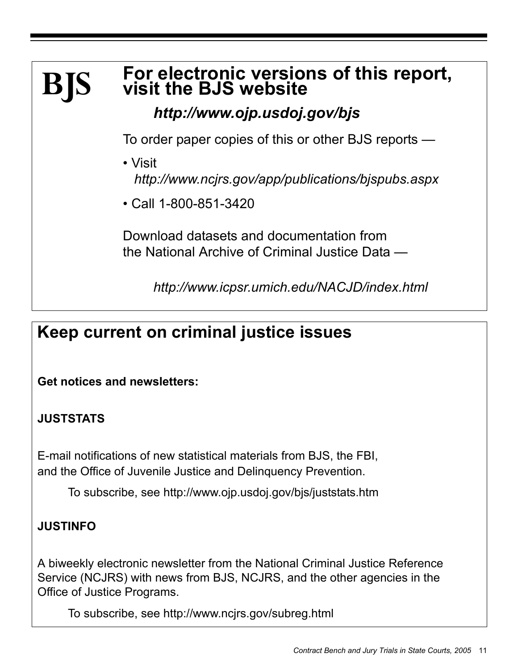### **For electronic versions of this report, visit the BJS website BJS**

*http://www.ojp.usdoj.gov/bjs*

To order paper copies of this or other BJS reports —

- Visit *http://www.ncjrs.gov/app/publications/bjspubs.aspx*
- Call 1-800-851-3420

Download datasets and documentation from the National Archive of Criminal Justice Data —

*http://www.icpsr.umich.edu/NACJD/index.html*

# **Keep current on criminal justice issues**

**Get notices and newsletters:** 

# **JUSTSTATS**

E-mail notifications of new statistical materials from BJS, the FBI, and the Office of Juvenile Justice and Delinquency Prevention.

To subscribe, see http://www.ojp.usdoj.gov/bjs/juststats.htm

# **JUSTINFO**

A biweekly electronic newsletter from the National Criminal Justice Reference Service (NCJRS) with news from BJS, NCJRS, and the other agencies in the Office of Justice Programs.

To subscribe, see http://www.ncjrs.gov/subreg.html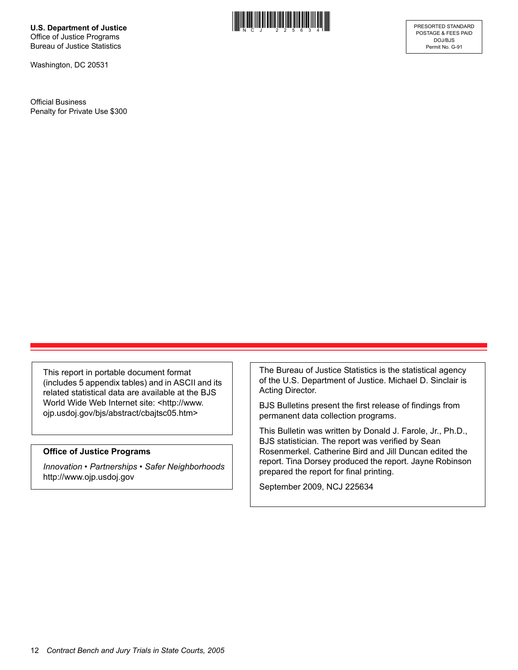**U.S. Department of Justice** Office of Justice Programs Bureau of Justice Statistics

Washington, DC 20531

Official Business Penalty for Private Use \$300



This report in portable document format (includes 5 appendix tables) and in ASCII and its related statistical data are available at the BJS World Wide Web Internet site: <http://www. ojp.usdoj.gov/bjs/abstract/cbajtsc05.htm>

#### **Office of Justice Programs**

*Innovation • Partnerships • Safer Neighborhoods* http://www.ojp.usdoj.gov

The Bureau of Justice Statistics is the statistical agency of the U.S. Department of Justice. Michael D. Sinclair is Acting Director.

BJS Bulletins present the first release of findings from permanent data collection programs.

This Bulletin was written by Donald J. Farole, Jr., Ph.D., BJS statistician. The report was verified by Sean Rosenmerkel. Catherine Bird and Jill Duncan edited the report. Tina Dorsey produced the report. Jayne Robinson prepared the report for final printing.

September 2009, NCJ 225634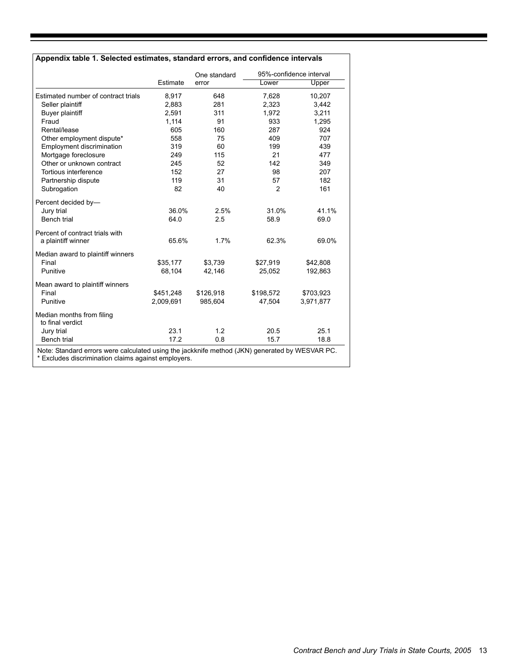|                                               |           | One standard<br>error |           | 95%-confidence interval |  |
|-----------------------------------------------|-----------|-----------------------|-----------|-------------------------|--|
|                                               | Estimate  |                       | Lower     | Upper                   |  |
| Estimated number of contract trials           | 8,917     | 648                   | 7,628     | 10,207                  |  |
| Seller plaintiff                              | 2,883     | 281                   | 2,323     | 3,442                   |  |
| Buyer plaintiff                               | 2,591     | 311                   | 1,972     | 3,211                   |  |
| Fraud                                         | 1,114     | 91                    | 933       | 1,295                   |  |
| Rental/lease                                  | 605       | 160                   | 287       | 924                     |  |
| Other employment dispute*                     | 558       | 75                    | 409       | 707                     |  |
| <b>Employment discrimination</b>              | 319       | 60                    | 199       | 439                     |  |
| Mortgage foreclosure                          | 249       | 115                   | 21        | 477                     |  |
| Other or unknown contract                     | 245       | 52                    | 142       | 349                     |  |
| Tortious interference                         | 152       | 27                    | 98        | 207                     |  |
| Partnership dispute                           | 119       | 31                    | 57        | 182                     |  |
| Subrogation                                   | 82        | 40                    | 2         | 161                     |  |
| Percent decided by-                           |           |                       |           |                         |  |
| Jury trial                                    | 36.0%     | 2.5%                  | 31.0%     | 41.1%                   |  |
| Bench trial                                   | 64.0      | 2.5                   | 58.9      | 69.0                    |  |
| Percent of contract trials with               |           |                       |           |                         |  |
| a plaintiff winner                            | 65.6%     | 1.7%                  | 62.3%     | 69.0%                   |  |
| Median award to plaintiff winners             |           |                       |           |                         |  |
| Final                                         | \$35,177  | \$3,739               | \$27,919  | \$42,808                |  |
| Punitive                                      | 68,104    | 42,146                | 25,052    | 192,863                 |  |
| Mean award to plaintiff winners               |           |                       |           |                         |  |
| Final                                         | \$451,248 | \$126,918             | \$198,572 | \$703,923               |  |
| Punitive                                      | 2,009,691 | 985,604               | 47,504    | 3,971,877               |  |
| Median months from filing<br>to final verdict |           |                       |           |                         |  |
| Jury trial                                    | 23.1      | 1.2                   | 20.5      | 25.1                    |  |
| Bench trial                                   | 17.2      | 0.8                   | 15.7      | 18.8                    |  |

**Excludes discrimination claims against employers.**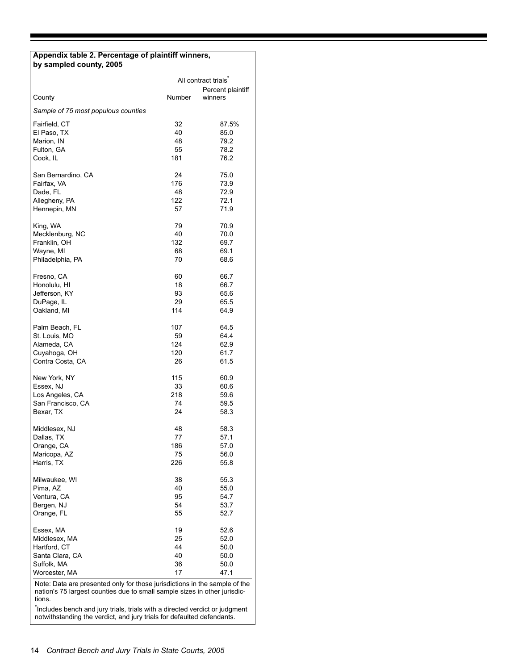#### **Appendix table 2. Percentage of plaintiff winners, by sampled county, 2005**

|                                                                            | All contract trials |                   |  |
|----------------------------------------------------------------------------|---------------------|-------------------|--|
|                                                                            |                     | Percent plaintiff |  |
| County                                                                     | Number              | winners           |  |
| Sample of 75 most populous counties                                        |                     |                   |  |
| Fairfield, CT                                                              | 32                  | 87.5%             |  |
| El Paso, TX                                                                | 40                  | 85.0              |  |
| Marion, IN                                                                 | 48                  | 79.2              |  |
| Fulton, GA                                                                 | 55                  | 78.2              |  |
| Cook, IL                                                                   | 181                 | 76.2              |  |
| San Bernardino, CA                                                         | 24                  | 75.0              |  |
| Fairfax, VA                                                                | 176                 | 73.9              |  |
| Dade, FL                                                                   | 48                  | 72.9              |  |
| Allegheny, PA                                                              | 122                 | 72.1              |  |
| Hennepin, MN                                                               | 57                  | 71.9              |  |
| King, WA                                                                   | 79                  | 70.9              |  |
| Mecklenburg, NC                                                            | 40                  | 70.0              |  |
| Franklin, OH                                                               | 132                 | 69.7              |  |
| Wayne, MI                                                                  | 68                  | 69.1              |  |
| Philadelphia, PA                                                           | 70                  | 68.6              |  |
|                                                                            |                     |                   |  |
| Fresno, CA                                                                 | 60                  | 66.7              |  |
| Honolulu, HI                                                               | 18                  | 66.7              |  |
| Jefferson, KY                                                              | 93                  | 65.6              |  |
| DuPage, IL                                                                 | 29                  | 65.5<br>64.9      |  |
| Oakland, MI                                                                | 114                 |                   |  |
| Palm Beach, FL                                                             | 107                 | 64.5              |  |
| St. Louis, MO                                                              | 59                  | 64.4              |  |
| Alameda, CA                                                                | 124                 | 62.9              |  |
| Cuyahoga, OH                                                               | 120                 | 61.7              |  |
| Contra Costa, CA                                                           | 26                  | 61.5              |  |
| New York, NY                                                               | 115                 | 60.9              |  |
| Essex, NJ                                                                  | 33                  | 60.6              |  |
| Los Angeles, CA                                                            | 218                 | 59.6              |  |
| San Francisco, CA                                                          | 74                  | 59.5              |  |
| Bexar, TX                                                                  | 24                  | 58.3              |  |
| Middlesex, NJ                                                              | 48                  | 58.3              |  |
| Dallas, TX                                                                 | 77                  | 57.1              |  |
| Orange, CA                                                                 | 186                 | 57.0              |  |
| Maricopa, AZ                                                               | $\sqrt{5}$          | 56.0              |  |
| Harris, TX                                                                 | 226                 | 55.8              |  |
| Milwaukee, WI                                                              | 38                  | 55.3              |  |
| Pima, AZ                                                                   | 40                  | 55.0              |  |
| Ventura, CA                                                                | 95                  | 54.7              |  |
| Bergen, NJ                                                                 | 54                  | 53.7              |  |
| Orange, FL                                                                 | 55                  | 52.7              |  |
|                                                                            |                     |                   |  |
| Essex, MA                                                                  | 19                  | 52.6              |  |
| Middlesex, MA                                                              | 25                  | 52.0              |  |
| Hartford, CT                                                               | 44                  | 50.0              |  |
| Santa Clara, CA                                                            | 40                  | 50.0              |  |
| Suffolk, MA                                                                | 36                  | 50.0              |  |
| Worcester, MA                                                              | 17                  | 47.1              |  |
| Note: Data are presented only for those jurisdictions in the sample of the |                     |                   |  |

nation's 75 largest counties due to small sample sizes in other jurisdictions.

\* Includes bench and jury trials, trials with a directed verdict or judgment notwithstanding the verdict, and jury trials for defaulted defendants.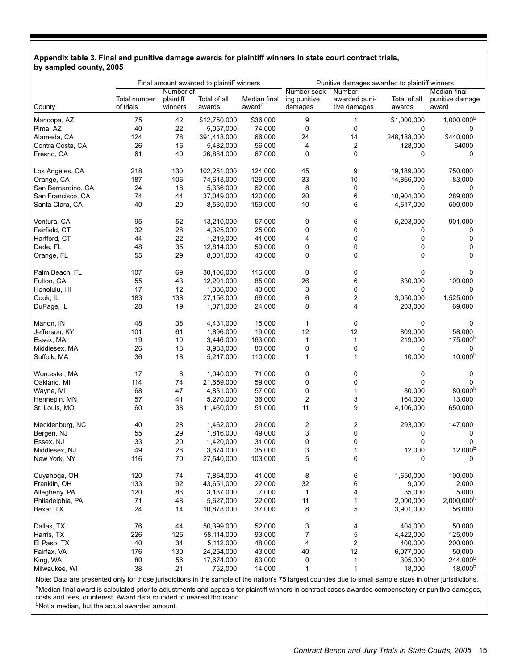#### **Appendix table 3. Final and punitive damage awards for plaintiff winners in state court contract trials, by sampled county, 2005**

|                    | Final amount awarded to plaintiff winners |                                   |                        |                                    | Punitive damages awarded to plaintiff winners |                                         |                        |                                          |
|--------------------|-------------------------------------------|-----------------------------------|------------------------|------------------------------------|-----------------------------------------------|-----------------------------------------|------------------------|------------------------------------------|
| County             | Total number<br>of trials                 | Number of<br>plaintiff<br>winners | Total of all<br>awards | Median final<br>award <sup>a</sup> | Number seek-<br>ing punitive<br>damages       | Number<br>awarded puni-<br>tive damages | Total of all<br>awards | Median final<br>punitive damage<br>award |
| Maricopa, AZ       | 75                                        | 42                                | \$12,750,000           | \$36,000                           | 9                                             | 1                                       | \$1,000,000            | $1,000,000^b$                            |
| Pima, AZ           | 40                                        | 22                                | 5,057,000              | 74,000                             | $\pmb{0}$                                     | 0                                       | 0                      | 0                                        |
| Alameda, CA        | 124                                       | 78                                | 391,418,000            | 66,000                             | 24                                            | 14                                      | 248,188,000            | \$440,000                                |
| Contra Costa, CA   | 26                                        | 16                                | 5,482,000              | 56,000                             | 4                                             | 2                                       | 128,000                | 64000                                    |
| Fresno, CA         | 61                                        | 40                                | 26,884,000             | 67,000                             | $\mathbf 0$                                   | 0                                       | 0                      | 0                                        |
| Los Angeles, CA    | 218                                       | 130                               | 102,251,000            | 124,000                            | 45                                            | 9                                       | 19,189,000             | 750,000                                  |
| Orange, CA         | 187                                       | 106                               | 74,618,000             | 129,000                            | 33                                            | 10                                      | 14,866,000             | 83,000                                   |
| San Bernardino, CA | 24                                        | 18                                | 5,336,000              | 62,000                             | 8                                             | 0                                       | 0                      | 0                                        |
| San Francisco, CA  | 74                                        | 44                                | 37,049,000             | 120,000                            | 20                                            | 6                                       | 10,904,000             | 289,000                                  |
| Santa Clara, CA    | 40                                        | 20                                | 8,530,000              | 159,000                            | 10                                            | 6                                       | 4,617,000              | 500,000                                  |
| Ventura, CA        | 95                                        | 52                                | 13,210,000             | 57,000                             | 9                                             | 6                                       | 5,203,000              | 901,000                                  |
| Fairfield, CT      | 32                                        | 28                                | 4,325,000              | 25,000                             | $\mathbf 0$                                   | 0                                       | 0                      | 0                                        |
| Hartford, CT       | 44                                        | 22                                | 1,219,000              | 41,000                             | 4                                             | 0                                       | 0                      | 0                                        |
| Dade, FL           | 48                                        | 35                                | 12,814,000             | 59,000                             | $\pmb{0}$                                     | 0                                       | 0                      | 0                                        |
| Orange, FL         | 55                                        | 29                                | 8,001,000              | 43,000                             | $\mathbf 0$                                   | 0                                       | 0                      | 0                                        |
| Palm Beach, FL     | 107                                       | 69                                | 30,106,000             | 116,000                            | 0                                             | 0                                       | 0                      | 0                                        |
| Fulton, GA         | 55                                        | 43                                | 12,291,000             | 85,000                             | 26                                            | 6                                       | 630,000                | 109,000                                  |
| Honolulu, HI       | 17                                        | 12                                | 1,036,000              | 43,000                             | 3                                             | 0                                       | 0                      | 0                                        |
| Cook, IL           | 183                                       | 138                               | 27,156,000             | 66,000                             | 6                                             | 2                                       | 3,050,000              | 1,525,000                                |
| DuPage, IL         | 28                                        | 19                                | 1,071,000              | 24,000                             | 8                                             | 4                                       | 203,000                | 69,000                                   |
| Marion, IN         | 48                                        | 38                                | 4,431,000              | 15,000                             | $\mathbf{1}$                                  | 0                                       | 0                      | 0                                        |
| Jefferson, KY      | 101                                       | 61                                | 1,896,000              | 19,000                             | 12                                            | 12                                      | 809,000                | 58,000                                   |
| Essex, MA          | 19                                        | 10                                | 3,446,000              | 163,000                            | $\mathbf{1}$                                  | $\mathbf{1}$                            | 219,000                | 175,000 <sup>b</sup>                     |
| Middlesex, MA      | 26                                        | 13                                | 3,983,000              | 80,000                             | $\pmb{0}$                                     | 0                                       | 0                      | 0                                        |
| Suffolk, MA        | 36                                        | 18                                | 5,217,000              | 110,000                            | $\mathbf{1}$                                  | $\mathbf{1}$                            | 10,000                 | $10,000^{b}$                             |
| Worcester, MA      | 17                                        | 8                                 | 1,040,000              | 71,000                             | 0                                             | 0                                       | 0                      | 0                                        |
| Oakland, MI        | 114                                       | 74                                | 21,659,000             | 59,000                             | $\mathbf 0$                                   | 0                                       | 0                      | 0                                        |
| Wayne, MI          | 68                                        | 47                                | 4,831,000              | 57,000                             | 0                                             | $\mathbf{1}$                            | 80,000                 | 80,000 <sup>b</sup>                      |
| Hennepin, MN       | 57                                        | 41                                | 5,270,000              | 36,000                             | $\overline{\mathbf{c}}$                       | 3                                       | 164,000                | 13,000                                   |
| St. Louis, MO      | 60                                        | 38                                | 11,460,000             | 51,000                             | 11                                            | 9                                       | 4,106,000              | 650,000                                  |
| Mecklenburg, NC    | 40                                        | 28                                | 1,462,000              | 29,000                             | $\overline{\mathbf{c}}$                       | 2                                       | 293,000                | 147,000                                  |
| Bergen, NJ         | 55                                        | 29                                | 1,816,000              | 49,000                             | 3                                             | 0                                       | 0                      | 0                                        |
| Essex, NJ          | 33                                        | 20                                | 1,420,000              | 31,000                             | 0                                             | 0                                       | 0                      | 0                                        |
| Middlesex, NJ      | 49                                        | 28                                | 3,674,000              | 35,000                             | 3                                             | 1                                       | 12,000                 | $12,000^{b}$                             |
| New York, NY       | 116                                       | 70                                | 27,540,000             | 103,000                            | 5                                             | $\pmb{0}$                               | 0                      | 0                                        |
| Cuyahoga, OH       | 120                                       | 74                                | 7,864,000              | 41,000                             | 8                                             | 6                                       | 1,650,000              | 100,000                                  |
| Franklin, OH       | 133                                       | 92                                | 43,651,000             | 22,000                             | 32                                            | 6                                       | 9,000                  | 2,000                                    |
| Allegheny, PA      | 120                                       | 88                                | 3,137,000              | 7,000                              | 1                                             | 4                                       | 35,000                 | 5,000                                    |
| Philadelphia, PA   | 71                                        | 48                                | 5,627,000              | 22,000                             | 11                                            | $\mathbf{1}$                            | 2,000,000              | 2,000,000 <sup>b</sup>                   |
| Bexar, TX          | 24                                        | 14                                | 10,878,000             | 37,000                             | 8                                             | 5                                       | 3,901,000              | 56,000                                   |
| Dallas, TX         | 76                                        | 44                                | 50,399,000             | 52,000                             | 3                                             | 4                                       | 404,000                | 50,000                                   |
| Harris, TX         | 226                                       | 126                               | 58,114,000             | 93,000                             | $\overline{7}$                                | 5                                       | 4,422,000              | 125,000                                  |
| El Paso, TX        | 40                                        | 34                                | 5,112,000              | 48,000                             | 4                                             | $\overline{\mathbf{c}}$                 | 400,000                | 200,000                                  |
| Fairfax, VA        | 176                                       | 130                               | 24,254,000             | 43,000                             | 40                                            | 12                                      | 6,077,000              | 50,000                                   |
| King, WA           | 80                                        | 56                                | 17,674,000             | 63,000                             | $\pmb{0}$                                     | 1                                       | 305,000                | 244,000 <sup>b</sup>                     |
| Milwaukee, WI      | 38                                        | 21                                | 752,000                | 14,000                             | $\mathbf{1}$                                  | $\mathbf{1}$                            | 18,000                 | $18,000^{b}$                             |

Note: Data are presented only for those jurisdictions in the sample of the nation's 75 largest counties due to small sample sizes in other jurisdictions. aMedian final award is calculated prior to adjustments and appeals for plaintiff winners in contract cases awarded compensatory or punitive damages, costs and fees, or interest. Award data rounded to nearest thousand.

bNot a median, but the actual awarded amount.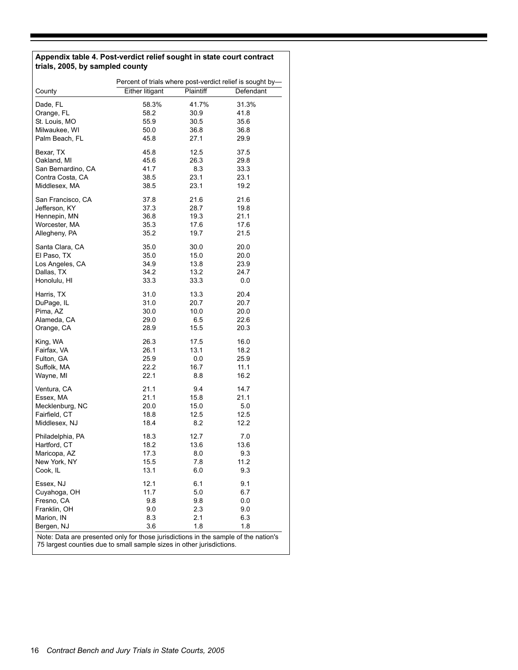#### **Appendix table 4. Post-verdict relief sought in state court contract trials, 2005, by sampled county**

|                                                                                                                                                              | Percent of trials where post-verdict relief is sought by- |                  |              |  |
|--------------------------------------------------------------------------------------------------------------------------------------------------------------|-----------------------------------------------------------|------------------|--------------|--|
| County                                                                                                                                                       | <b>Either litigant</b>                                    | <b>Plaintiff</b> | Defendant    |  |
| Dade, FL                                                                                                                                                     | 58.3%                                                     | 41.7%            | 31.3%        |  |
| Orange, FL                                                                                                                                                   | 58.2                                                      | 30.9             | 41.8         |  |
| St. Louis, MO                                                                                                                                                | 55.9                                                      | 30.5             | 35.6         |  |
| Milwaukee, WI                                                                                                                                                | 50.0                                                      | 36.8             | 36.8         |  |
| Palm Beach, FL                                                                                                                                               | 45.8                                                      | 27.1             | 29.9         |  |
| Bexar, TX                                                                                                                                                    | 45.8                                                      | 12.5             | 37.5         |  |
| Oakland, MI                                                                                                                                                  | 45.6                                                      | 26.3             | 29.8         |  |
| San Bernardino, CA                                                                                                                                           | 41.7                                                      | 8.3              | 33.3         |  |
| Contra Costa, CA                                                                                                                                             | 38.5                                                      | 23.1             | 23.1         |  |
| Middlesex, MA                                                                                                                                                | 38.5                                                      | 23.1             | 19.2         |  |
|                                                                                                                                                              |                                                           |                  |              |  |
| San Francisco, CA                                                                                                                                            | 37.8                                                      | 21.6             | 21.6         |  |
| Jefferson, KY                                                                                                                                                | 37.3                                                      | 28.7             | 19.8         |  |
| Hennepin, MN                                                                                                                                                 | 36.8                                                      | 19.3             | 21.1         |  |
| Worcester, MA                                                                                                                                                | 35.3                                                      | 17.6             | 17.6         |  |
| Allegheny, PA                                                                                                                                                | 35.2                                                      | 19.7             | 21.5         |  |
| Santa Clara, CA                                                                                                                                              | 35.0                                                      | 30.0             | 20.0         |  |
| El Paso, TX                                                                                                                                                  | 35.0                                                      | 15.0             | 20.0         |  |
| Los Angeles, CA                                                                                                                                              | 34.9                                                      | 13.8             | 23.9         |  |
| Dallas, TX                                                                                                                                                   | 34.2                                                      | 13.2             | 24.7         |  |
| Honolulu, HI                                                                                                                                                 | 33.3                                                      | 33.3             | 0.0          |  |
| Harris, TX                                                                                                                                                   | 31.0                                                      | 13.3             | 20.4         |  |
| DuPage, IL                                                                                                                                                   | 31.0                                                      | 20.7             | 20.7         |  |
| Pima, AZ                                                                                                                                                     | 30.0                                                      | 10.0             | 20.0         |  |
| Alameda, CA                                                                                                                                                  |                                                           |                  |              |  |
| Orange, CA                                                                                                                                                   | 29.0<br>28.9                                              | 6.5<br>15.5      | 22.6<br>20.3 |  |
| King, WA                                                                                                                                                     | 26.3                                                      | 17.5             | 16.0         |  |
| Fairfax, VA                                                                                                                                                  | 26.1                                                      | 13.1             | 18.2         |  |
| Fulton, GA                                                                                                                                                   | 25.9                                                      | 0.0              | 25.9         |  |
| Suffolk, MA                                                                                                                                                  | 22.2                                                      | 16.7             | 11.1         |  |
| Wayne, MI                                                                                                                                                    | 22.1                                                      | 8.8              | 16.2         |  |
|                                                                                                                                                              |                                                           |                  |              |  |
| Ventura, CA                                                                                                                                                  | 21.1                                                      | 9.4              | 14.7         |  |
| Essex, MA                                                                                                                                                    | 21.1                                                      | 15.8             | 21.1         |  |
| Mecklenburg, NC                                                                                                                                              | 20.0                                                      | 15.0             | 5.0          |  |
| Fairfield, CT                                                                                                                                                | 18.8                                                      | 12.5             | 12.5         |  |
| Middlesex, NJ                                                                                                                                                | 18.4                                                      | 8.2              | 12.2         |  |
| Philadelphia, PA                                                                                                                                             | 18.3                                                      | 12.7             | 7.0          |  |
| Hartford, CT                                                                                                                                                 | 18.2                                                      | 13.6             | 13.6         |  |
| Maricopa, AZ                                                                                                                                                 | 17.3                                                      | 8.0              | 9.3          |  |
| New York, NY                                                                                                                                                 | 15.5                                                      | 7.8              | 11.2         |  |
| Cook, IL                                                                                                                                                     | 13.1                                                      | 6.0              | 9.3          |  |
| Essex, NJ                                                                                                                                                    | 12.1                                                      | 6.1              | 9.1          |  |
| Cuyahoga, OH                                                                                                                                                 | 11.7                                                      | 5.0              | 6.7          |  |
| Fresno, CA                                                                                                                                                   | 9.8                                                       | 9.8              | 0.0          |  |
| Franklin, OH                                                                                                                                                 |                                                           |                  |              |  |
|                                                                                                                                                              | 9.0                                                       | 2.3              | 9.0          |  |
| Marion, IN                                                                                                                                                   | 8.3                                                       | 2.1              | 6.3          |  |
| Bergen, NJ                                                                                                                                                   | 3.6                                                       | 1.8              | 1.8          |  |
| Note: Data are presented only for those jurisdictions in the sample of the nation's<br>75 largest counties due to small sample sizes in other jurisdictions. |                                                           |                  |              |  |